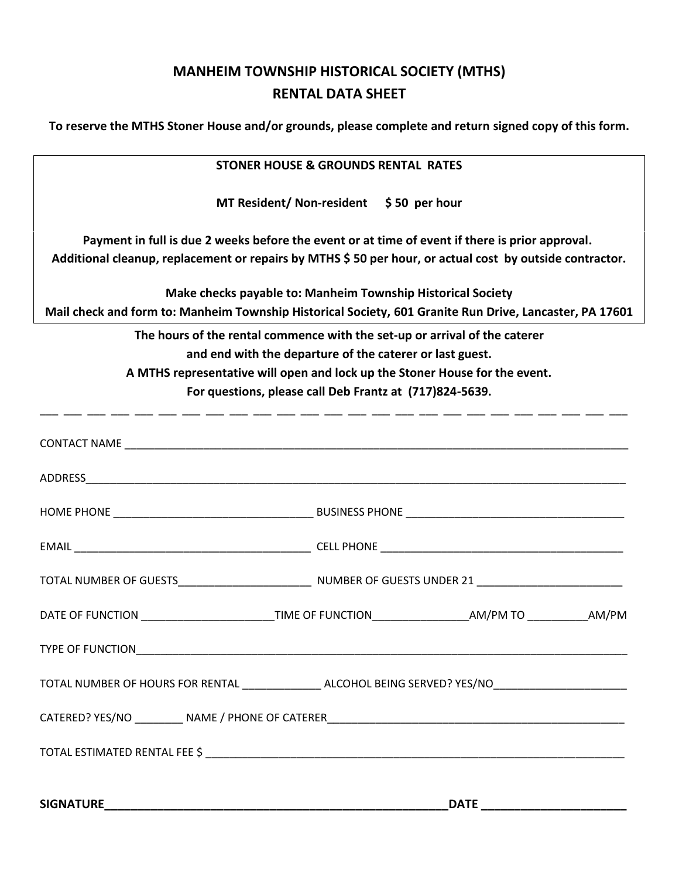## **MANHEIM TOWNSHIP HISTORICAL SOCIETY (MTHS) RENTAL DATA SHEET**

**To reserve the MTHS Stoner House and/or grounds, please complete and return signed copy of this form.**

| <b>STONER HOUSE &amp; GROUNDS RENTAL RATES</b>                                                                                                                                                                                                                                                                                                                                       |  |  |  |  |                                                                                                                                                                                                                                                                                                                                                                                               |  |  |  |
|--------------------------------------------------------------------------------------------------------------------------------------------------------------------------------------------------------------------------------------------------------------------------------------------------------------------------------------------------------------------------------------|--|--|--|--|-----------------------------------------------------------------------------------------------------------------------------------------------------------------------------------------------------------------------------------------------------------------------------------------------------------------------------------------------------------------------------------------------|--|--|--|
| MT Resident/ Non-resident $\frac{1}{2}$ 50 per hour                                                                                                                                                                                                                                                                                                                                  |  |  |  |  |                                                                                                                                                                                                                                                                                                                                                                                               |  |  |  |
| Payment in full is due 2 weeks before the event or at time of event if there is prior approval.<br>Additional cleanup, replacement or repairs by MTHS \$50 per hour, or actual cost by outside contractor.<br>Make checks payable to: Manheim Township Historical Society<br>Mail check and form to: Manheim Township Historical Society, 601 Granite Run Drive, Lancaster, PA 17601 |  |  |  |  |                                                                                                                                                                                                                                                                                                                                                                                               |  |  |  |
|                                                                                                                                                                                                                                                                                                                                                                                      |  |  |  |  | The hours of the rental commence with the set-up or arrival of the caterer<br>and end with the departure of the caterer or last guest.<br>A MTHS representative will open and lock up the Stoner House for the event.<br>For questions, please call Deb Frantz at (717)824-5639.<br>المساحسة للمساحسة المساحسة للمساحسة المساحسة للمساحسة المساحسة للمساحسة المساحسة المساحسة للمساحسة للمساح |  |  |  |
|                                                                                                                                                                                                                                                                                                                                                                                      |  |  |  |  |                                                                                                                                                                                                                                                                                                                                                                                               |  |  |  |
|                                                                                                                                                                                                                                                                                                                                                                                      |  |  |  |  |                                                                                                                                                                                                                                                                                                                                                                                               |  |  |  |
|                                                                                                                                                                                                                                                                                                                                                                                      |  |  |  |  |                                                                                                                                                                                                                                                                                                                                                                                               |  |  |  |
|                                                                                                                                                                                                                                                                                                                                                                                      |  |  |  |  |                                                                                                                                                                                                                                                                                                                                                                                               |  |  |  |
|                                                                                                                                                                                                                                                                                                                                                                                      |  |  |  |  |                                                                                                                                                                                                                                                                                                                                                                                               |  |  |  |
| DATE OF FUNCTION ____________________________TIME OF FUNCTION___________________AM/PM TO ____________AM/PM                                                                                                                                                                                                                                                                           |  |  |  |  |                                                                                                                                                                                                                                                                                                                                                                                               |  |  |  |
|                                                                                                                                                                                                                                                                                                                                                                                      |  |  |  |  |                                                                                                                                                                                                                                                                                                                                                                                               |  |  |  |
| TOTAL NUMBER OF HOURS FOR RENTAL _________________ ALCOHOL BEING SERVED? YES/NO_____________________                                                                                                                                                                                                                                                                                 |  |  |  |  |                                                                                                                                                                                                                                                                                                                                                                                               |  |  |  |
|                                                                                                                                                                                                                                                                                                                                                                                      |  |  |  |  |                                                                                                                                                                                                                                                                                                                                                                                               |  |  |  |
|                                                                                                                                                                                                                                                                                                                                                                                      |  |  |  |  |                                                                                                                                                                                                                                                                                                                                                                                               |  |  |  |
|                                                                                                                                                                                                                                                                                                                                                                                      |  |  |  |  |                                                                                                                                                                                                                                                                                                                                                                                               |  |  |  |
|                                                                                                                                                                                                                                                                                                                                                                                      |  |  |  |  |                                                                                                                                                                                                                                                                                                                                                                                               |  |  |  |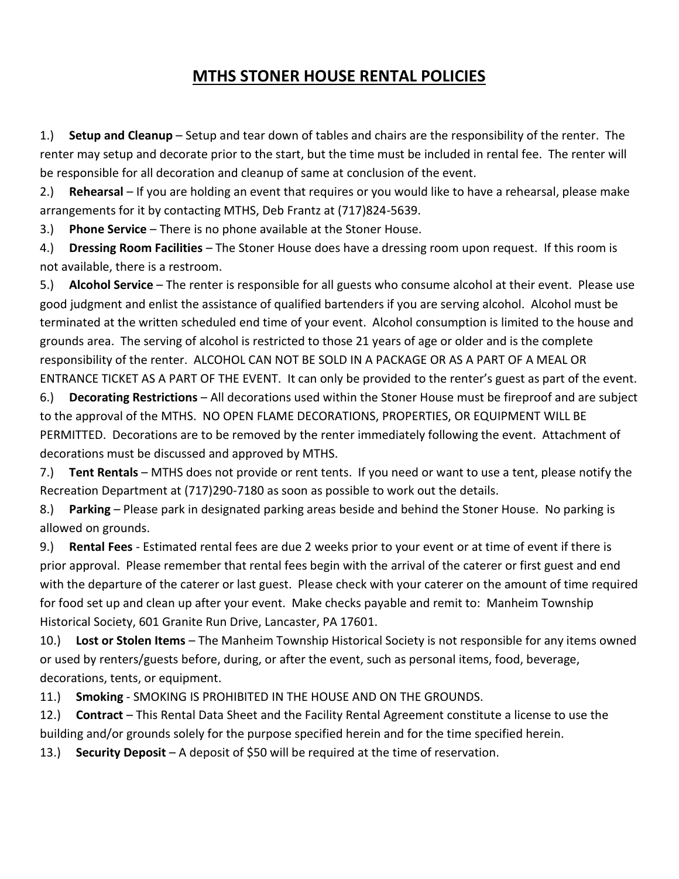## **MTHS STONER HOUSE RENTAL POLICIES**

1.) **Setup and Cleanup** – Setup and tear down of tables and chairs are the responsibility of the renter. The renter may setup and decorate prior to the start, but the time must be included in rental fee. The renter will be responsible for all decoration and cleanup of same at conclusion of the event.

2.) **Rehearsal** – If you are holding an event that requires or you would like to have a rehearsal, please make arrangements for it by contacting MTHS, Deb Frantz at (717)824-5639.

3.) **Phone Service** – There is no phone available at the Stoner House.

4.) **Dressing Room Facilities** – The Stoner House does have a dressing room upon request. If this room is not available, there is a restroom.

5.) **Alcohol Service** – The renter is responsible for all guests who consume alcohol at their event. Please use good judgment and enlist the assistance of qualified bartenders if you are serving alcohol. Alcohol must be terminated at the written scheduled end time of your event. Alcohol consumption is limited to the house and grounds area. The serving of alcohol is restricted to those 21 years of age or older and is the complete responsibility of the renter. ALCOHOL CAN NOT BE SOLD IN A PACKAGE OR AS A PART OF A MEAL OR ENTRANCE TICKET AS A PART OF THE EVENT. It can only be provided to the renter's guest as part of the event.

6.) **Decorating Restrictions** – All decorations used within the Stoner House must be fireproof and are subject to the approval of the MTHS. NO OPEN FLAME DECORATIONS, PROPERTIES, OR EQUIPMENT WILL BE PERMITTED. Decorations are to be removed by the renter immediately following the event. Attachment of decorations must be discussed and approved by MTHS.

7.) **Tent Rentals** – MTHS does not provide or rent tents. If you need or want to use a tent, please notify the Recreation Department at (717)290-7180 as soon as possible to work out the details.

8.) **Parking** – Please park in designated parking areas beside and behind the Stoner House. No parking is allowed on grounds.

9.) **Rental Fees** - Estimated rental fees are due 2 weeks prior to your event or at time of event if there is prior approval. Please remember that rental fees begin with the arrival of the caterer or first guest and end with the departure of the caterer or last guest. Please check with your caterer on the amount of time required for food set up and clean up after your event. Make checks payable and remit to: Manheim Township Historical Society, 601 Granite Run Drive, Lancaster, PA 17601.

10.) **Lost or Stolen Items** – The Manheim Township Historical Society is not responsible for any items owned or used by renters/guests before, during, or after the event, such as personal items, food, beverage, decorations, tents, or equipment.

11.) **Smoking** - SMOKING IS PROHIBITED IN THE HOUSE AND ON THE GROUNDS.

12.) **Contract** – This Rental Data Sheet and the Facility Rental Agreement constitute a license to use the building and/or grounds solely for the purpose specified herein and for the time specified herein.

13.) **Security Deposit** – A deposit of \$50 will be required at the time of reservation.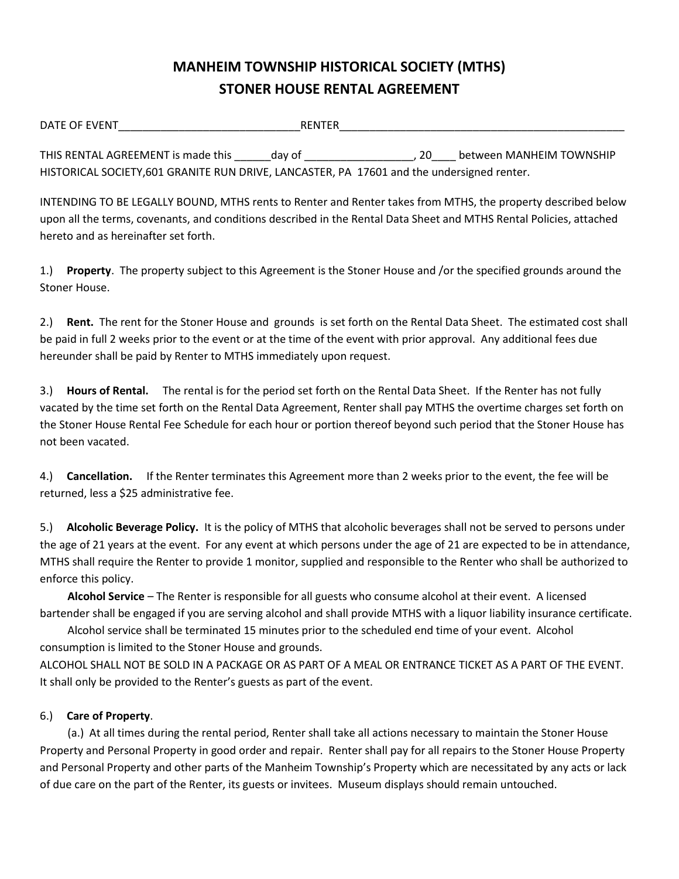## **MANHEIM TOWNSHIP HISTORICAL SOCIETY (MTHS) STONER HOUSE RENTAL AGREEMENT**

| DATE OF EVENT                                                                              | <b>RENTER</b> |    |                          |
|--------------------------------------------------------------------------------------------|---------------|----|--------------------------|
| THIS RENTAL AGREEMENT is made this                                                         |               | 20 | between MANHEIM TOWNSHIP |
|                                                                                            | dav of        |    |                          |
| HISTORICAL SOCIETY, 601 GRANITE RUN DRIVE, LANCASTER, PA 17601 and the undersigned renter. |               |    |                          |

INTENDING TO BE LEGALLY BOUND, MTHS rents to Renter and Renter takes from MTHS, the property described below upon all the terms, covenants, and conditions described in the Rental Data Sheet and MTHS Rental Policies, attached hereto and as hereinafter set forth.

1.) **Property**. The property subject to this Agreement is the Stoner House and /or the specified grounds around the Stoner House.

2.) **Rent.** The rent for the Stoner House and grounds is set forth on the Rental Data Sheet. The estimated cost shall be paid in full 2 weeks prior to the event or at the time of the event with prior approval. Any additional fees due hereunder shall be paid by Renter to MTHS immediately upon request.

3.) **Hours of Rental.** The rental is for the period set forth on the Rental Data Sheet. If the Renter has not fully vacated by the time set forth on the Rental Data Agreement, Renter shall pay MTHS the overtime charges set forth on the Stoner House Rental Fee Schedule for each hour or portion thereof beyond such period that the Stoner House has not been vacated.

4.) **Cancellation.** If the Renter terminates this Agreement more than 2 weeks prior to the event, the fee will be returned, less a \$25 administrative fee.

5.) **Alcoholic Beverage Policy.** It is the policy of MTHS that alcoholic beverages shall not be served to persons under the age of 21 years at the event. For any event at which persons under the age of 21 are expected to be in attendance, MTHS shall require the Renter to provide 1 monitor, supplied and responsible to the Renter who shall be authorized to enforce this policy.

 **Alcohol Service** – The Renter is responsible for all guests who consume alcohol at their event. A licensed bartender shall be engaged if you are serving alcohol and shall provide MTHS with a liquor liability insurance certificate.

 Alcohol service shall be terminated 15 minutes prior to the scheduled end time of your event. Alcohol consumption is limited to the Stoner House and grounds.

ALCOHOL SHALL NOT BE SOLD IN A PACKAGE OR AS PART OF A MEAL OR ENTRANCE TICKET AS A PART OF THE EVENT. It shall only be provided to the Renter's guests as part of the event.

## 6.) **Care of Property**.

 (a.) At all times during the rental period, Renter shall take all actions necessary to maintain the Stoner House Property and Personal Property in good order and repair. Renter shall pay for all repairs to the Stoner House Property and Personal Property and other parts of the Manheim Township's Property which are necessitated by any acts or lack of due care on the part of the Renter, its guests or invitees. Museum displays should remain untouched.